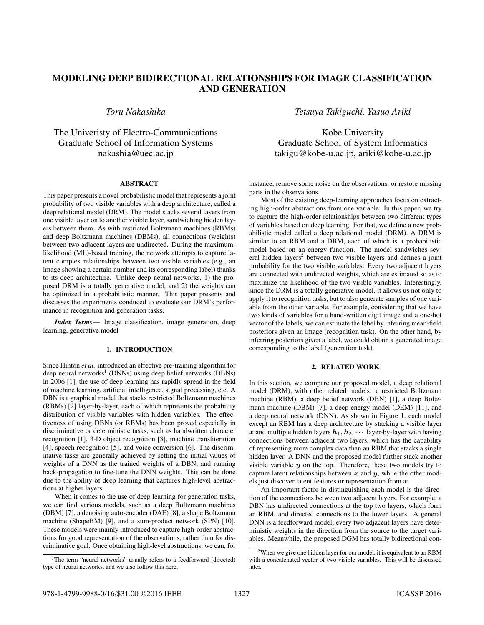# MODELING DEEP BIDIRECTIONAL RELATIONSHIPS FOR IMAGE CLASSIFICATION AND GENERATION

*Toru Nakashika*

The Univeristy of Electro-Communications Graduate School of Information Systems nakashia@uec.ac.jp

# ABSTRACT

This paper presents a novel probabilistic model that represents a joint probability of two visible variables with a deep architecture, called a deep relational model (DRM). The model stacks several layers from one visible layer on to another visible layer, sandwiching hidden layers between them. As with restricted Boltzmann machines (RBMs) and deep Boltzmann machines (DBMs), all connections (weights) between two adjacent layers are undirected. During the maximumlikelihood (ML)-based training, the network attempts to capture latent complex relationships between two visible variables (e.g., an image showing a certain number and its corresponding label) thanks to its deep architecture. Unlike deep neural networks, 1) the proposed DRM is a totally generative model, and 2) the weights can be optimized in a probabilistic manner. This paper presents and discusses the experiments conduced to evaluate our DRM's performance in recognition and generation tasks.

*Index Terms*— Image classification, image generation, deep learning, generative model

#### 1. INTRODUCTION

Since Hinton *et al.* introduced an effective pre-training algorithm for deep neural networks<sup>1</sup> (DNNs) using deep belief networks (DBNs) in 2006 [1], the use of deep learning has rapidly spread in the field of machine learning, artificial intelligence, signal processing, etc. A DBN is a graphical model that stacks restricted Boltzmann machines (RBMs) [2] layer-by-layer, each of which represents the probability distribution of visible variables with hidden variables. The effectiveness of using DBNs (or RBMs) has been proved especially in discriminative or deterministic tasks, such as handwritten character recognition [1], 3-D object recognition [3], machine transliteration [4], speech recognition [5], and voice conversion [6]. The discriminative tasks are generally achieved by setting the initial values of weights of a DNN as the trained weights of a DBN, and running back-propagation to fine-tune the DNN weights. This can be done due to the ability of deep learning that captures high-level abstractions at higher layers.

When it comes to the use of deep learning for generation tasks, we can find various models, such as a deep Boltzmann machines (DBM) [7], a denoising auto-encoder (DAE) [8], a shape Boltzmann machine (ShapeBM) [9], and a sum-product network (SPN) [10]. These models were mainly introduced to capture high-order abstractions for good representation of the observations, rather than for discriminative goal. Once obtaining high-level abstractions, we can, for *Tetsuya Takiguchi, Yasuo Ariki*

Kobe University Graduate School of System Informatics takigu@kobe-u.ac.jp, ariki@kobe-u.ac.jp

instance, remove some noise on the observations, or restore missing parts in the observations.

Most of the existing deep-learning approaches focus on extracting high-order abstractions from one variable. In this paper, we try to capture the high-order relationships between two different types of variables based on deep learning. For that, we define a new probabilistic model called a deep relational model (DRM). A DRM is similar to an RBM and a DBM, each of which is a probabilistic model based on an energy function. The model sandwiches several hidden layers<sup>2</sup> between two visible layers and defines a joint probability for the two visible variables. Every two adjacent layers are connected with undirected weights, which are estimated so as to maximize the likelihood of the two visible variables. Interestingly, since the DRM is a totally generative model, it allows us not only to apply it to recognition tasks, but to also generate samples of one variable from the other variable. For example, considering that we have two kinds of variables for a hand-written digit image and a one-hot vector of the labels, we can estimate the label by inferring mean-field posteriors given an image (recognition task). On the other hand, by inferring posteriors given a label, we could obtain a generated image corresponding to the label (generation task).

# 2. RELATED WORK

In this section, we compare our proposed model, a deep relational model (DRM), with other related models: a restricted Boltzmann machine (RBM), a deep belief network (DBN) [1], a deep Boltzmann machine (DBM) [7], a deep energy model (DEM) [11], and a deep neural network (DNN). As shown in Figure 1, each model except an RBM has a deep architecture by stacking a visible layer x and multiple hidden layers  $h_1, h_2, \cdots$  layer-by-layer with having connections between adjacent two layers, which has the capability of representing more complex data than an RBM that stacks a single hidden layer. A DNN and the proposed model further stack another visible variable  $y$  on the top. Therefore, these two models try to capture latent relationships between  $x$  and  $y$ , while the other models just discover latent features or representation from  $x$ .

An important factor in distinguishing each model is the direction of the connections between two adjacent layers. For example, a DBN has undirected connections at the top two layers, which form an RBM, and directed connections to the lower layers. A general DNN is a feedforward model; every two adjacent layers have deterministic weights in the direction from the source to the target variables. Meanwhile, the proposed DGM has totally bidirectional con-

<sup>&</sup>lt;sup>1</sup>The term "neural networks" usually refers to a feedforward (directed) type of neural networks, and we also follow this here.

<sup>2</sup>When we give one hidden layer for our model, it is equivalent to an RBM with a concatenated vector of two visible variables. This will be discussed later.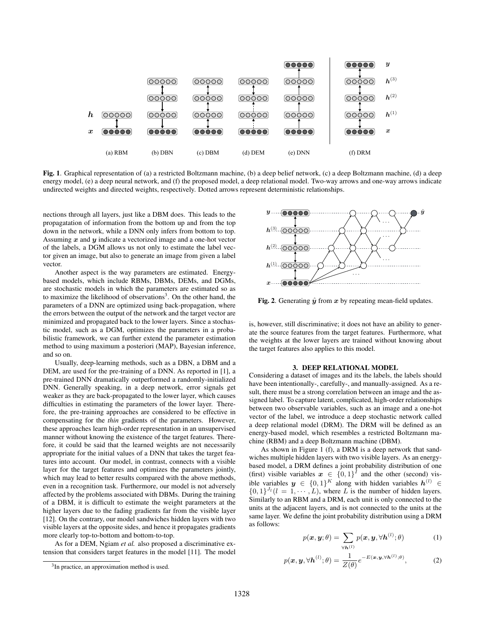

Fig. 1. Graphical representation of (a) a restricted Boltzmann machine, (b) a deep belief network, (c) a deep Boltzmann machine, (d) a deep energy model, (e) a deep neural network, and (f) the proposed model, a deep relational model. Two-way arrows and one-way arrows indicate undirected weights and directed weights, respectively. Dotted arrows represent deterministic relationships.

nections through all layers, just like a DBM does. This leads to the propagatation of information from the bottom up and from the top down in the network, while a DNN only infers from bottom to top. Assuming  $x$  and  $y$  indicate a vectorized image and a one-hot vector of the labels, a DGM allows us not only to estimate the label vector given an image, but also to generate an image from given a label vector.

Another aspect is the way parameters are estimated. Energybased models, which include RBMs, DBMs, DEMs, and DGMs, are stochastic models in which the parameters are estimated so as to maximize the likelihood of observations<sup>3</sup>. On the other hand, the parameters of a DNN are optimized using back-propagation, where the errors between the output of the network and the target vector are minimized and propagated back to the lower layers. Since a stochastic model, such as a DGM, optimizes the parameters in a probabilistic framework, we can further extend the parameter estimation method to using maximum a posteriori (MAP), Bayesian inference, and so on.

Usually, deep-learning methods, such as a DBN, a DBM and a DEM, are used for the pre-training of a DNN. As reported in [1], a pre-trained DNN dramatically outperformed a randomly-initialized DNN. Generally speaking, in a deep network, error signals get weaker as they are back-propagated to the lower layer, which causes difficulties in estimating the parameters of the lower layer. Therefore, the pre-training approaches are considered to be effective in compensating for the *thin* gradients of the parameters. However, these approaches learn high-order representation in an unsupervised manner without knowing the existence of the target features. Therefore, it could be said that the learned weights are not necessarily appropriate for the initial values of a DNN that takes the target features into account. Our model, in contrast, connects with a visible layer for the target features and optimizes the parameters jointly, which may lead to better results compared with the above methods, even in a recognition task. Furthermore, our model is not adversely affected by the problems associated with DBMs. During the training of a DBM, it is difficult to estimate the weight parameters at the higher layers due to the fading gradients far from the visible layer [12]. On the contrary, our model sandwiches hidden layers with two visible layers at the opposite sides, and hence it propagates gradients more clearly top-to-bottom and bottom-to-top.

As for a DEM, Ngiam *et al.* also proposed a discriminative extension that considers target features in the model [11]. The model



Fig. 2. Generating  $\hat{y}$  from x by repeating mean-field updates.

is, however, still discriminative; it does not have an ability to generate the source features from the target features. Furthermore, what the weights at the lower layers are trained without knowing about the target features also applies to this model.

#### 3. DEEP RELATIONAL MODEL

Considering a dataset of images and its the labels, the labels should have been intentionally-, carefully-, and manually-assigned. As a result, there must be a strong correlation between an image and the assigned label. To capture latent, complicated, high-order relationships between two observable variables, such as an image and a one-hot vector of the label, we introduce a deep stochastic network called a deep relational model (DRM). The DRM will be defined as an energy-based model, which resembles a restricted Boltzmann machine (RBM) and a deep Boltzmann machine (DBM).

As shown in Figure 1 (f), a DRM is a deep network that sandwiches multiple hidden layers with two visible layers. As an energybased model, a DRM defines a joint probability distribution of one (first) visible variables  $x \in \{0,1\}^{\bar{I}}$  and the other (second) visible variables  $y \in \{0,1\}^K$  along with hidden variables  $h^{(l)} \in$  $\{0,1\}^{J_l}$   $(l = 1, \cdots, L)$ , where L is the number of hidden layers. Similarly to an RBM and a DRM, each unit is only connected to the units at the adjacent layers, and is not connected to the units at the same layer. We define the joint probability distribution using a DRM as follows:

$$
p(\boldsymbol{x}, \boldsymbol{y}; \theta) = \sum_{\forall \boldsymbol{h}^{(l)}} p(\boldsymbol{x}, \boldsymbol{y}, \forall \boldsymbol{h}^{(l)}; \theta)
$$
(1)

$$
p(\boldsymbol{x}, \boldsymbol{y}, \forall \boldsymbol{h}^{(l)}; \theta) = \frac{1}{Z(\theta)} e^{-E(\boldsymbol{x}, \boldsymbol{y}, \forall \boldsymbol{h}^{(l)}; \theta)},
$$
(2)

<sup>&</sup>lt;sup>3</sup>In practice, an approximation method is used.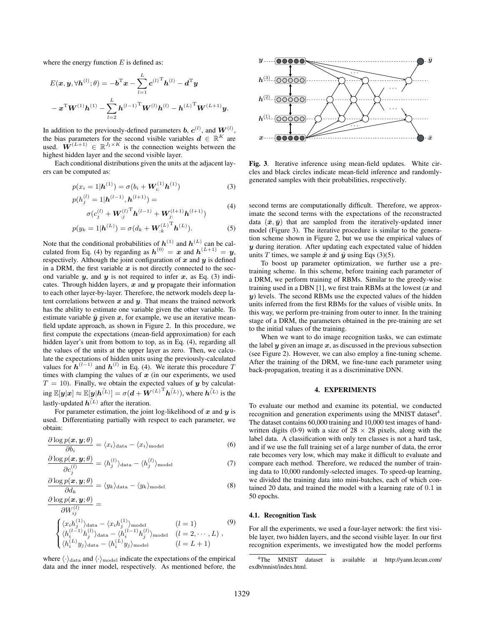where the energy function  $E$  is defined as:

$$
E(\mathbf{x}, \mathbf{y}, \forall h^{(l)}; \theta) = -\mathbf{b}^{T} \mathbf{x} - \sum_{l=1}^{L} \mathbf{c}^{(l)^{T}} h^{(l)} - \mathbf{d}^{T} \mathbf{y}
$$

$$
- \mathbf{x}^{T} \mathbf{W}^{(1)} h^{(1)} - \sum_{l=2}^{L} \mathbf{h}^{(l-1)^{T}} \mathbf{W}^{(l)} h^{(l)} - \mathbf{h}^{(L)^{T}} \mathbf{W}^{(L+1)} \mathbf{y}.
$$

In addition to the previously-defined parameters b,  $c^{(l)}$ , and  $W^{(l)}$ , the bias parameters for the second visible variables  $\mathbf{d} \in \mathbb{R}^K$  are used.  $\mathbf{W}^{(L+1)} \in \mathbb{R}^{J_l \times K}$  is the connection weights between the highest hidden layer and the second visible layer.

Each conditional distributions given the units at the adjacent layers can be computed as:

$$
p(x_i = 1 | \boldsymbol{h}^{(1)}) = \sigma(b_i + \boldsymbol{W}_{i:}^{(1)} \boldsymbol{h}^{(1)})
$$
\n(3)

$$
p(h_j^{(l)} = 1 | \mathbf{h}^{(l-1)}, \mathbf{h}^{(l+1)}) =
$$
\n
$$
p(h_j^{(l)} = \mathbf{r} \mathbf{r}^{(l)} \mathbf{r}^{(l-1)}, \mathbf{r} \mathbf{r}^{(l+1)}, \mathbf{r}^{(l+1)}, \mathbf{r}^{(l+1)}, \mathbf{r}^{(l+1)}, \mathbf{r}^{(l+1)}, \mathbf{r}^{(l+1)}, \mathbf{r}^{(l+1)}, \mathbf{r}^{(l+1)}, \mathbf{r}^{(l+1)}, \mathbf{r}^{(l+1)}, \mathbf{r}^{(l+1)}, \mathbf{r}^{(l+1)}, \mathbf{r}^{(l+1)}, \mathbf{r}^{(l+1)}, \mathbf{r}^{(l+1)}, \mathbf{r}^{(l+1)}, \mathbf{r}^{(l+1)}, \mathbf{r}^{(l+1)}, \mathbf{r}^{(l+1)}, \mathbf{r}^{(l+1)}, \mathbf{r}^{(l+1)}, \mathbf{r}^{(l+1)}, \mathbf{r}^{(l+1)}, \mathbf{r}^{(l+1)}, \mathbf{r}^{(l+1)}, \mathbf{r}^{(l+1)}, \mathbf{r}^{(l+1)}, \mathbf{r}^{(l+1)}, \mathbf{r}^{(l+1)}, \mathbf{r}^{(l+1)}, \mathbf{r}^{(l+1)}, \mathbf{r}^{(l+1)}, \mathbf{r}^{(l+1)}, \mathbf{r}^{(l+1)}, \mathbf{r}^{(l+1)}, \mathbf{r}^{(l+1)}, \mathbf{r}^{(l+1)}, \mathbf{r}^{(l+1)}, \mathbf{r}^{(l+1)}, \mathbf{r}^{(l+1)}, \mathbf{r}^{(l+1)}, \mathbf{r}^{(l+1)}, \mathbf{r}^{(l+1)}, \mathbf{r}^{(l+1)}, \mathbf{r}^{(l+1)}, \mathbf{r}^{(l+1)}, \mathbf{r}^{(l+1)}, \mathbf{r}^{(l+1)}, \mathbf{r}^{(l+1)}, \mathbf{r}^{(l+1)}, \mathbf{r}^{(l+1)}, \mathbf{r}^{(l+1)}, \mathbf{r}^{(l+1)}, \mathbf{r}^{(l+1)}, \mathbf{r}^{(l+1)}, \mathbf{r}^{(l+1
$$

$$
\sigma(c_j^{(l)} + W_{:j}^{(l)}^{\mathrm{T}} \boldsymbol{h}^{(l-1)} + W_{j}^{(l+1)} \boldsymbol{h}^{(l+1)})
$$

$$
p(y_k = 1 | \boldsymbol{h}^{(L)}) = \sigma(d_k + \boldsymbol{W}_{:k}^{(L)}^{\mathrm{T}} \boldsymbol{h}^{(L)}).
$$
 (5)

Note that the conditional probabilities of  $h^{(1)}$  and  $h^{(L)}$  can be calculated from Eq. (4) by regarding as  $h^{(0)} = x$  and  $h^{(L+1)} = y$ , respectively. Although the joint configuration of  $x$  and  $y$  is defined in a DRM, the first variable  $x$  is not directly connected to the second variable  $y$ , and  $y$  is not required to infer  $x$ , as Eq. (3) indicates. Through hidden layers,  $x$  and  $y$  propagate their information to each other layer-by-layer. Therefore, the network models deep latent correlations between  $x$  and  $y$ . That means the trained network has the ability to estimate one variable given the other variable. To estimate variable  $\hat{y}$  given  $x$ , for example, we use an iterative meanfield update approach, as shown in Figure 2. In this procedure, we first compute the expectations (mean-field approximation) for each hidden layer's unit from bottom to top, as in Eq. (4), regarding all the values of the units at the upper layer as zero. Then, we calculate the expectations of hidden units using the previously-calculated values for  $\mathbf{h}^{(l-1)}$  and  $\mathbf{h}^{(l)}$  in Eq. (4). We iterate this procedure T times with clamping the values of  $x$  (in our experiments, we used  $T = 10$ ). Finally, we obtain the expected values of y by calculating  $\mathbb{E}[\bm{y}|\bm{x}] \approx \mathbb{E}[\bm{y}|\hat{\bm{h}}^{(L)}] = \sigma(\bm{d} + \bm{W}^{(L)^\mathrm{T}} \hat{\bm{h}}^{(L)})$ , where  $\hat{\bm{h}}^{(L)}$  is the lastly-updated  $\hat{h}^{(L)}$  after the iteration.

For parameter estimation, the joint log-likelihood of  $x$  and  $y$  is used. Differentiating partially with respect to each parameter, we obtain:

$$
\frac{\partial \log p(\boldsymbol{x}, \boldsymbol{y}; \theta)}{\partial b_i} = \langle x_i \rangle_{\text{data}} - \langle x_i \rangle_{\text{model}}
$$
(6)

$$
\frac{\partial \log p(\boldsymbol{x}, \boldsymbol{y}; \theta)}{\partial c_j^{(l)}} = \langle h_j^{(l)} \rangle_{\text{data}} - \langle h_j^{(l)} \rangle_{\text{model}}
$$
\n(7)

$$
\frac{\partial \log p(\boldsymbol{x}, \boldsymbol{y}; \theta)}{\partial d_k} = \langle y_k \rangle_{\text{data}} - \langle y_k \rangle_{\text{model}}
$$
(8)

$$
\frac{\partial \log p(\boldsymbol{x}, \boldsymbol{y}; \theta)}{\partial W_{ij}^{(l)}} = \left\{ \begin{aligned} &\langle x_i h_j^{(1)} \rangle_{\text{data}} - \langle x_i h_j^{(1)} \rangle_{\text{model}} & (l = 1) \end{aligned} \right. \tag{9}
$$

$$
\begin{cases}\n\langle u_i^{(l-1)}h_j^{(l)}\rangle_{\text{data}} - \langle h_i^{(l-1)}h_j^{(l)}\rangle_{\text{model}} & (l = 2, \dots, L), \\
\langle h_i^{(L)}y_j\rangle_{\text{data}} - \langle h_i^{(L)}y_j\rangle_{\text{model}} & (l = L + 1)\n\end{cases}
$$

where  $\langle \cdot \rangle_{\text{data}}$  and  $\langle \cdot \rangle_{\text{model}}$  indicate the expectations of the empirical data and the inner model, respectively. As mentioned before, the



Fig. 3. Iterative inference using mean-field updates. White circles and black circles indicate mean-field inference and randomlygenerated samples with their probabilities, respectively.

second terms are computationally difficult. Therefore, we approximate the second terms with the expectations of the reconstracted data  $(\bar{x}, \bar{y})$  that are sampled from the iteratively-updated inner model (Figure 3). The iterative procedure is similar to the generation scheme shown in Figure 2, but we use the empirical values of y during iteration. After updating each expectated value of hidden units T times, we sample  $\bar{x}$  and  $\bar{y}$  using Eqs (3)(5).

To boost up parameter optimization, we further use a pretraining scheme. In this scheme, before training each parameter of a DRM, we perform training of RBMs. Similar to the greedy-wise training used in a DBN [1], we first train RBMs at the lowest  $(x$  and y) levels. The second RBMs use the expected values of the hidden units inferred from the first RBMs for the values of visible units. In this way, we perform pre-training from outer to inner. In the training stage of a DRM, the parameters obtained in the pre-training are set to the initial values of the training.

When we want to do image recognition tasks, we can estimate the label  $y$  given an image  $x$ , as discussed in the previous subsection (see Figure 2). However, we can also employ a fine-tuning scheme. After the training of the DRM, we fine-tune each parameter using back-propagation, treating it as a discriminative DNN.

# 4. EXPERIMENTS

To evaluate our method and examine its potential, we conducted recognition and generation experiments using the MNIST dataset<sup>4</sup>. The dataset contains 60,000 training and 10,000 test images of handwritten digits (0-9) with a size of  $28 \times 28$  pixels, along with the label data. A classification with only ten classes is not a hard task, and if we use the full training set of a large number of data, the error rate becomes very low, which may make it difficult to evaluate and compare each method. Therefore, we reduced the number of training data to 10,000 randomly-selected images. To speed-up learning, we divided the training data into mini-batches, each of which contained 20 data, and trained the model with a learning rate of 0.1 in 50 epochs.

## 4.1. Recognition Task

For all the experiments, we used a four-layer network: the first visible layer, two hidden layers, and the second visible layer. In our first recognition experiments, we investigated how the model performs

<sup>4</sup>The MNIST dataset is available at http://yann.lecun.com/ exdb/mnist/index.html.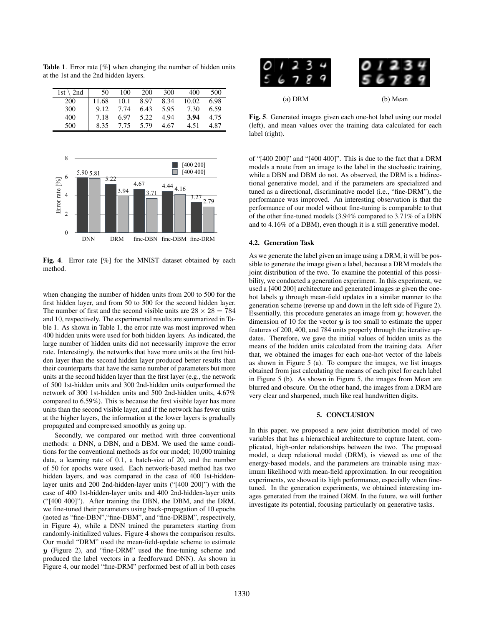Table 1. Error rate [%] when changing the number of hidden units at the 1st and the 2nd hidden layers.

| $1st \setminus 2nd$ | $\vert$ 50 | - 100 | 200            | 300  | - 400                              | 500  |
|---------------------|------------|-------|----------------|------|------------------------------------|------|
| 200                 |            |       |                |      | $\vert$ 11.68 10.1 8.97 8.34 10.02 | 6.98 |
| 300                 |            |       |                |      | 9.12 7.74 6.43 5.95 7.30           | 6.59 |
| 400                 | 7.18       |       | 6.97 5.22 4.94 |      | 3.94 4.75                          |      |
| 500                 |            |       | 8.35 7.75 5.79 | 4.67 | 4.51                               | 4.87 |



Fig. 4. Error rate [%] for the MNIST dataset obtained by each method.

when changing the number of hidden units from 200 to 500 for the first hidden layer, and from 50 to 500 for the second hidden layer. The number of first and the second visible units are  $28 \times 28 = 784$ and 10, respectively. The experimental results are summarized in Table 1. As shown in Table 1, the error rate was most improved when 400 hidden units were used for both hidden layers. As indicated, the large number of hidden units did not necessarily improve the error rate. Interestingly, the networks that have more units at the first hidden layer than the second hidden layer produced better results than their counterparts that have the same number of parameters but more units at the second hidden layer than the first layer (e.g., the network of 500 1st-hidden units and 300 2nd-hidden units outperformed the network of 300 1st-hidden units and 500 2nd-hidden units, 4.67% compared to 6.59%). This is because the first visible layer has more units than the second visible layer, and if the network has fewer units at the higher layers, the information at the lower layers is gradually propagated and compressed smoothly as going up.

Secondly, we compared our method with three conventional methods: a DNN, a DBN, and a DBM. We used the same conditions for the conventional methods as for our model; 10,000 training data, a learning rate of 0.1, a batch-size of 20, and the number of 50 for epochs were used. Each network-based method has two hidden layers, and was compared in the case of 400 1st-hiddenlayer units and 200 2nd-hidden-layer units ("[400 200]") with the case of 400 1st-hidden-layer units and 400 2nd-hidden-layer units ("[400 400]"). After training the DBN, the DBM, and the DRM, we fine-tuned their parameters using back-propagation of 10 epochs (noted as "fine-DBN","fine-DBM", and "fine-DRBM", respectively, in Figure 4), while a DNN trained the parameters starting from randomly-initialized values. Figure 4 shows the comparison results. Our model "DRM" used the mean-field-update scheme to estimate y (Figure 2), and "fine-DRM" used the fine-tuning scheme and produced the label vectors in a feedforward DNN). As shown in Figure 4, our model "fine-DRM" performed best of all in both cases



Fig. 5. Generated images given each one-hot label using our model (left), and mean values over the training data calculated for each label (right).

of "[400 200]" and "[400 400]". This is due to the fact that a DRM models a route from an image to the label in the stochastic training, while a DBN and DBM do not. As observed, the DRM is a bidirectional generative model, and if the parameters are specialized and tuned as a directional, discriminative model (i.e., "fine-DRM"), the performance was improved. An interesting observation is that the performance of our model without fine-tuning is comparable to that of the other fine-tuned models (3.94% compared to 3.71% of a DBN and to 4.16% of a DBM), even though it is a still generative model.

### 4.2. Generation Task

As we generate the label given an image using a DRM, it will be possible to generate the image given a label, because a DRM models the joint distribution of the two. To examine the potential of this possibility, we conducted a generation experiment. In this experiment, we used a [400 200] architecture and generated images  $x$  given the onehot labels  $y$  through mean-field updates in a similar manner to the generation scheme (reverse up and down in the left side of Figure 2). Essentially, this procedure generates an image from  $y$ ; however, the dimension of 10 for the vector  $y$  is too small to estimate the upper features of 200, 400, and 784 units properly through the iterative updates. Therefore, we gave the initial values of hidden units as the means of the hidden units calculated from the training data. After that, we obtained the images for each one-hot vector of the labels as shown in Figure 5 (a). To compare the images, we list images obtained from just calculating the means of each pixel for each label in Figure 5 (b). As shown in Figure 5, the images from Mean are blurred and obscure. On the other hand, the images from a DRM are very clear and sharpened, much like real handwritten digits.

### 5. CONCLUSION

In this paper, we proposed a new joint distribution model of two variables that has a hierarchical architecture to capture latent, complicated, high-order relationships between the two. The proposed model, a deep relational model (DRM), is viewed as one of the energy-based models, and the parameters are trainable using maximum likelihood with mean-field approximation. In our recognition experiments, we showed its high performance, especially when finetuned. In the generation experiments, we obtained interesting images generated from the trained DRM. In the future, we will further investigate its potential, focusing particularly on generative tasks.